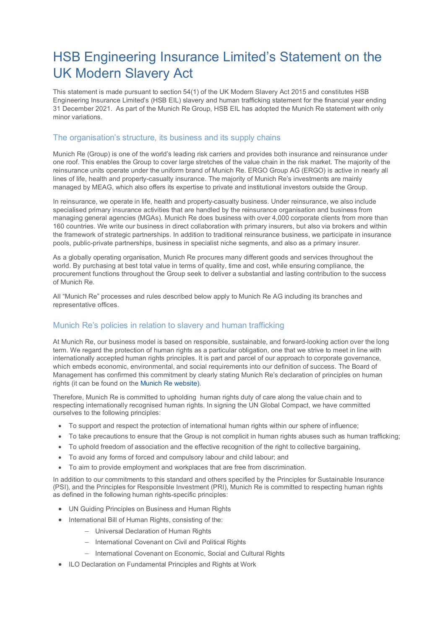# HSB Engineering Insurance Limited's Statement on the UK Modern Slavery Act

This statement is made pursuant to section 54(1) of the UK Modern Slavery Act 2015 and constitutes HSB Engineering Insurance Limited's (HSB EIL) slavery and human trafficking statement for the financial year ending 31 December 2021. As part of the Munich Re Group, HSB EIL has adopted the Munich Re statement with only minor variations.

# The organisation's structure, its business and its supply chains

Munich Re (Group) is one of the world's leading risk carriers and provides both insurance and reinsurance under one roof. This enables the Group to cover large stretches of the value chain in the risk market. The majority of the reinsurance units operate under the uniform brand of Munich Re. ERGO Group AG (ERGO) is active in nearly all lines of life, health and property-casualty insurance. The majority of Munich Re's investments are mainly managed by MEAG, which also offers its expertise to private and institutional investors outside the Group.

In reinsurance, we operate in life, health and property-casualty business. Under reinsurance, we also include specialised primary insurance activities that are handled by the reinsurance organisation and business from managing general agencies (MGAs). Munich Re does business with over 4,000 corporate clients from more than 160 countries. We write our business in direct collaboration with primary insurers, but also via brokers and within the framework of strategic partnerships. In addition to traditional reinsurance business, we participate in insurance pools, public-private partnerships, business in specialist niche segments, and also as a primary insurer.

As a globally operating organisation, Munich Re procures many different goods and services throughout the world. By purchasing at best total value in terms of quality, time and cost, while ensuring compliance, the procurement functions throughout the Group seek to deliver a substantial and lasting contribution to the success of Munich Re.

All "Munich Re" processes and rules described below apply to Munich Re AG including its branches and representative offices.

## Munich Re's policies in relation to slavery and human trafficking

At Munich Re, our business model is based on responsible, sustainable, and forward-looking action over the long term. We regard the protection of human rights as a particular obligation, one that we strive to meet in line with internationally accepted human rights principles. It is part and parcel of our approach to corporate governance, which embeds economic, environmental, and social requirements into our definition of success. The Board of Management has confirmed this commitment by clearly stating Munich Re's declaration of principles on human rights (it can be found on th[e Munich Re website\)](https://www.munichre.com/content/dam/munichre/global/content-pieces/documents/Human_Rights_declaration_2020.pdf/_jcr_content/renditions/original./Human_Rights_declaration_2020.pdf).

Therefore, Munich Re is committed to upholding human rights duty of care along the value chain and to respecting internationally recognised human rights. In signing the UN Global Compact, we have committed ourselves to the following principles:

- To support and respect the protection of international human rights within our sphere of influence;
- To take precautions to ensure that the Group is not complicit in human rights abuses such as human trafficking;
- To uphold freedom of association and the effective recognition of the right to collective bargaining,
- To avoid any forms of forced and compulsory labour and child labour; and
- To aim to provide employment and workplaces that are free from discrimination.

In addition to our commitments to this standard and others specified by the Principles for Sustainable Insurance (PSI), and the Principles for Responsible Investment (PRI), Munich Re is committed to respecting human rights as defined in the following human rights-specific principles:

- UN Guiding Principles on Business and Human Rights
- International Bill of Human Rights, consisting of the:
	- − Universal Declaration of Human Rights
	- − International Covenant on Civil and Political Rights
	- − International Covenant on Economic, Social and Cultural Rights
- ILO Declaration on Fundamental Principles and Rights at Work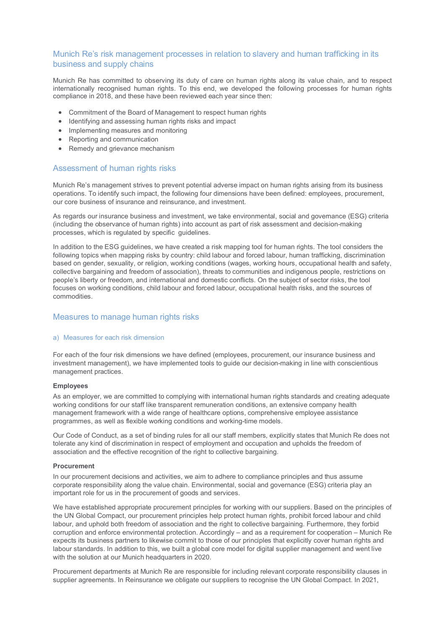# Munich Re's risk management processes in relation to slavery and human trafficking in its business and supply chains

Munich Re has committed to observing its duty of care on human rights along its value chain, and to respect internationally recognised human rights. To this end, we developed the following processes for human rights compliance in 2018, and these have been reviewed each year since then:

- Commitment of the Board of Management to respect human rights
- Identifying and assessing human rights risks and impact
- Implementing measures and monitoring
- Reporting and communication
- Remedy and grievance mechanism

## Assessment of human rights risks

Munich Re's management strives to prevent potential adverse impact on human rights arising from its business operations. To identify such impact, the following four dimensions have been defined: employees, procurement, our core business of insurance and reinsurance, and investment.

As regards our insurance business and investment, we take environmental, social and governance (ESG) criteria (including the observance of human rights) into account as part of risk assessment and decision-making processes, which is regulated by specific guidelines.

In addition to the ESG guidelines, we have created a risk mapping tool for human rights. The tool considers the following topics when mapping risks by country: child labour and forced labour, human trafficking, discrimination based on gender, sexuality, or religion, working conditions (wages, working hours, occupational health and safety, collective bargaining and freedom of association), threats to communities and indigenous people, restrictions on people's liberty or freedom, and international and domestic conflicts. On the subject of sector risks, the tool focuses on working conditions, child labour and forced labour, occupational health risks, and the sources of commodities.

## Measures to manage human rights risks

## a) Measures for each risk dimension

For each of the four risk dimensions we have defined (employees, procurement, our insurance business and investment management), we have implemented tools to guide our decision-making in line with conscientious management practices.

## **Employees**

As an employer, we are committed to complying with international human rights standards and creating adequate working conditions for our staff like transparent remuneration conditions, an extensive company health management framework with a wide range of healthcare options, comprehensive employee assistance programmes, as well as flexible working conditions and working-time models.

Our Code of Conduct, as a set of binding rules for all our staff members, explicitly states that Munich Re does not tolerate any kind of discrimination in respect of employment and occupation and upholds the freedom of association and the effective recognition of the right to collective bargaining.

#### **Procurement**

In our procurement decisions and activities, we aim to adhere to compliance principles and thus assume corporate responsibility along the value chain. Environmental, social and governance (ESG) criteria play an important role for us in the procurement of goods and services.

We have established appropriate procurement principles for working with our suppliers. Based on the principles of the UN Global Compact, our procurement principles help protect human rights, prohibit forced labour and child labour, and uphold both freedom of association and the right to collective bargaining. Furthermore, they forbid corruption and enforce environmental protection. Accordingly – and as a requirement for cooperation – Munich Re expects its business partners to likewise commit to those of our principles that explicitly cover human rights and labour standards. In addition to this, we built a global core model for digital supplier management and went live with the solution at our Munich headquarters in 2020.

Procurement departments at Munich Re are responsible for including relevant corporate responsibility clauses in supplier agreements. In Reinsurance we obligate our suppliers to recognise the UN Global Compact. In 2021,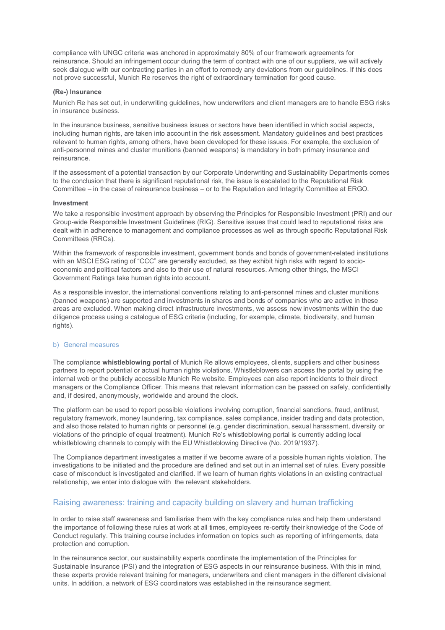compliance with UNGC criteria was anchored in approximately 80% of our framework agreements for reinsurance. Should an infringement occur during the term of contract with one of our suppliers, we will actively seek dialogue with our contracting parties in an effort to remedy any deviations from our guidelines. If this does not prove successful, Munich Re reserves the right of extraordinary termination for good cause.

## **(Re-) Insurance**

Munich Re has set out, in underwriting guidelines, how underwriters and client managers are to handle ESG risks in insurance business.

In the insurance business, sensitive business issues or sectors have been identified in which social aspects, including human rights, are taken into account in the risk assessment. Mandatory guidelines and best practices relevant to human rights, among others, have been developed for these issues. For example, the exclusion of anti-personnel mines and cluster munitions (banned weapons) is mandatory in both primary insurance and reinsurance.

If the assessment of a potential transaction by our Corporate Underwriting and Sustainability Departments comes to the conclusion that there is significant reputational risk, the issue is escalated to the Reputational Risk Committee – in the case of reinsurance business – or to the Reputation and Integrity Committee at ERGO.

#### **Investment**

We take a responsible investment approach by observing the Principles for Responsible Investment (PRI) and our Group-wide Responsible Investment Guidelines (RIG). Sensitive issues that could lead to reputational risks are dealt with in adherence to management and compliance processes as well as through specific Reputational Risk Committees (RRCs).

Within the framework of responsible investment, government bonds and bonds of government-related institutions with an MSCI ESG rating of "CCC" are generally excluded, as they exhibit high risks with regard to socioeconomic and political factors and also to their use of natural resources. Among other things, the MSCI Government Ratings take human rights into account.

As a responsible investor, the international conventions relating to anti-personnel mines and cluster munitions (banned weapons) are supported and investments in shares and bonds of companies who are active in these areas are excluded. When making direct infrastructure investments, we assess new investments within the due diligence process using a catalogue of ESG criteria (including, for example, climate, biodiversity, and human rights).

#### b) General measures

The compliance **whistleblowing portal** of Munich Re allows employees, clients, suppliers and other business partners to report potential or actual human rights violations. Whistleblowers can access the portal by using the internal web or the publicly accessible Munich Re website. Employees can also report incidents to their direct managers or the Compliance Officer. This means that relevant information can be passed on safely, confidentially and, if desired, anonymously, worldwide and around the clock.

The platform can be used to report possible violations involving corruption, financial sanctions, fraud, antitrust, regulatory framework, money laundering, tax compliance, sales compliance, insider trading and data protection, and also those related to human rights or personnel (e.g. gender discrimination, sexual harassment, diversity or violations of the principle of equal treatment). Munich Re's whistleblowing portal is currently adding local whistleblowing channels to comply with the EU Whistleblowing Directive (No. 2019/1937).

The Compliance department investigates a matter if we become aware of a possible human rights violation. The investigations to be initiated and the procedure are defined and set out in an internal set of rules. Every possible case of misconduct is investigated and clarified. If we learn of human rights violations in an existing contractual relationship, we enter into dialogue with the relevant stakeholders.

## Raising awareness: training and capacity building on slavery and human trafficking

In order to raise staff awareness and familiarise them with the key compliance rules and help them understand the importance of following these rules at work at all times, employees re-certify their knowledge of the Code of Conduct regularly. This training course includes information on topics such as reporting of infringements, data protection and corruption.

In the reinsurance sector, our sustainability experts coordinate the implementation of the Principles for Sustainable Insurance (PSI) and the integration of ESG aspects in our reinsurance business. With this in mind, these experts provide relevant training for managers, underwriters and client managers in the different divisional units. In addition, a network of ESG coordinators was established in the reinsurance segment.